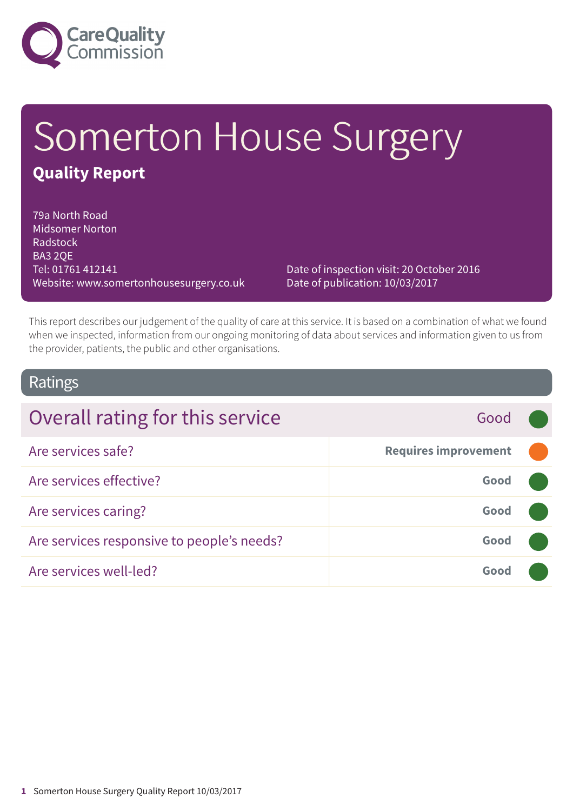

# Somerton House Surgery **Quality Report**

79a North Road Midsomer Norton Radstock BA3 2QE Tel: 01761 412141 Website: www.somertonhousesurgery.co.uk

Date of inspection visit: 20 October 2016 Date of publication: 10/03/2017

This report describes our judgement of the quality of care at this service. It is based on a combination of what we found when we inspected, information from our ongoing monitoring of data about services and information given to us from the provider, patients, the public and other organisations.

### Ratings

| Overall rating for this service            | Good                        |  |
|--------------------------------------------|-----------------------------|--|
| Are services safe?                         | <b>Requires improvement</b> |  |
| Are services effective?                    | Good                        |  |
| Are services caring?                       | Good                        |  |
| Are services responsive to people's needs? | Good                        |  |
| Are services well-led?                     | Good                        |  |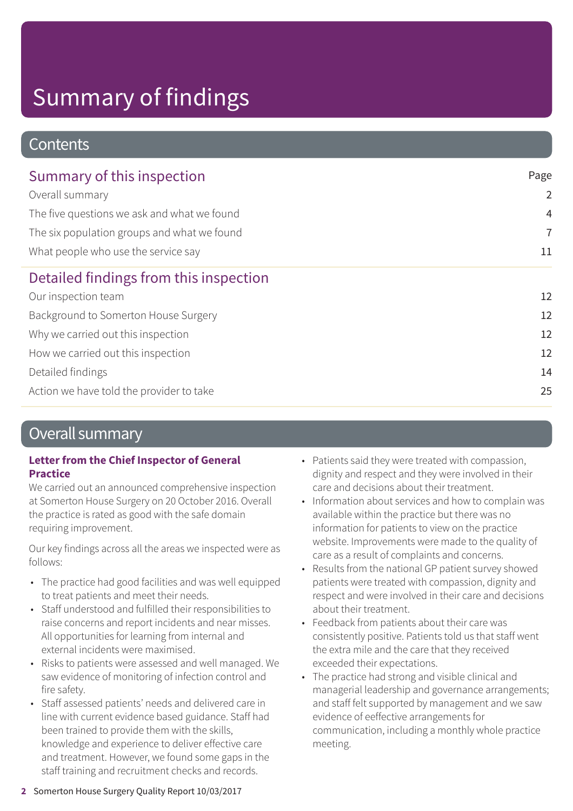### **Contents**

| Summary of this inspection                  | Page           |
|---------------------------------------------|----------------|
| Overall summary                             | $\overline{2}$ |
| The five questions we ask and what we found | $\overline{4}$ |
| The six population groups and what we found | $\overline{7}$ |
| What people who use the service say         | 11             |
| Detailed findings from this inspection      |                |
| Our inspection team                         | 12             |
| Background to Somerton House Surgery        | 12             |
| Why we carried out this inspection          | 12             |
| How we carried out this inspection          | 12             |
| Detailed findings                           | 14             |
| Action we have told the provider to take    | 25             |

### Overall summary

### **Letter from the Chief Inspector of General Practice**

We carried out an announced comprehensive inspection at Somerton House Surgery on 20 October 2016. Overall the practice is rated as good with the safe domain requiring improvement.

Our key findings across all the areas we inspected were as follows:

- The practice had good facilities and was well equipped to treat patients and meet their needs.
- Staff understood and fulfilled their responsibilities to raise concerns and report incidents and near misses. All opportunities for learning from internal and external incidents were maximised.
- Risks to patients were assessed and well managed. We saw evidence of monitoring of infection control and fire safety.
- Staff assessed patients' needs and delivered care in line with current evidence based guidance. Staff had been trained to provide them with the skills, knowledge and experience to deliver effective care and treatment. However, we found some gaps in the staff training and recruitment checks and records.
- Patients said they were treated with compassion, dignity and respect and they were involved in their care and decisions about their treatment.
- Information about services and how to complain was available within the practice but there was no information for patients to view on the practice website. Improvements were made to the quality of care as a result of complaints and concerns.
- Results from the national GP patient survey showed patients were treated with compassion, dignity and respect and were involved in their care and decisions about their treatment.
- Feedback from patients about their care was consistently positive. Patients told us that staff went the extra mile and the care that they received exceeded their expectations.
- The practice had strong and visible clinical and managerial leadership and governance arrangements; and staff felt supported by management and we saw evidence of eeffective arrangements for communication, including a monthly whole practice meeting.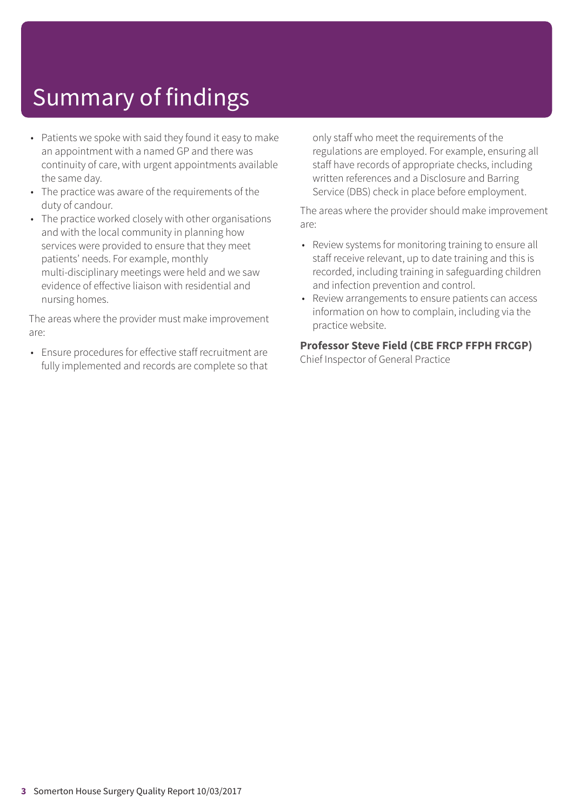- Patients we spoke with said they found it easy to make an appointment with a named GP and there was continuity of care, with urgent appointments available the same day.
- The practice was aware of the requirements of the duty of candour.
- The practice worked closely with other organisations and with the local community in planning how services were provided to ensure that they meet patients' needs. For example, monthly multi-disciplinary meetings were held and we saw evidence of effective liaison with residential and nursing homes.

The areas where the provider must make improvement are:

• Ensure procedures for effective staff recruitment are fully implemented and records are complete so that

only staff who meet the requirements of the regulations are employed. For example, ensuring all staff have records of appropriate checks, including written references and a Disclosure and Barring Service (DBS) check in place before employment.

The areas where the provider should make improvement are:

- Review systems for monitoring training to ensure all staff receive relevant, up to date training and this is recorded, including training in safeguarding children and infection prevention and control.
- Review arrangements to ensure patients can access information on how to complain, including via the practice website.

### **Professor Steve Field (CBE FRCP FFPH FRCGP)**

Chief Inspector of General Practice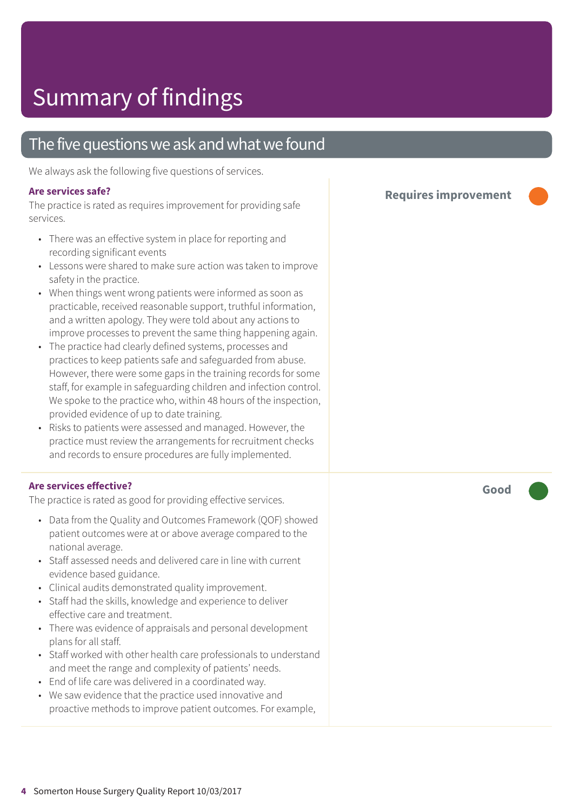### The five questions we ask and what we found

We always ask the following five questions of services.

#### **Are services safe?**

The practice is rated as requires improvement for providing safe services.

- There was an effective system in place for reporting and recording significant events
- Lessons were shared to make sure action was taken to improve safety in the practice.
- When things went wrong patients were informed as soon as practicable, received reasonable support, truthful information, and a written apology. They were told about any actions to improve processes to prevent the same thing happening again.
- The practice had clearly defined systems, processes and practices to keep patients safe and safeguarded from abuse. However, there were some gaps in the training records for some staff, for example in safeguarding children and infection control. We spoke to the practice who, within 48 hours of the inspection, provided evidence of up to date training.
- Risks to patients were assessed and managed. However, the practice must review the arrangements for recruitment checks and records to ensure procedures are fully implemented.

#### **Are services effective?**

The practice is rated as good for providing effective services.

- Data from the Quality and Outcomes Framework (QOF) showed patient outcomes were at or above average compared to the national average.
- Staff assessed needs and delivered care in line with current evidence based guidance.
- Clinical audits demonstrated quality improvement.
- Staff had the skills, knowledge and experience to deliver effective care and treatment.
- There was evidence of appraisals and personal development plans for all staff.
- Staff worked with other health care professionals to understand and meet the range and complexity of patients' needs.
- End of life care was delivered in a coordinated way.
- We saw evidence that the practice used innovative and proactive methods to improve patient outcomes. For example,

**Requires improvement –––**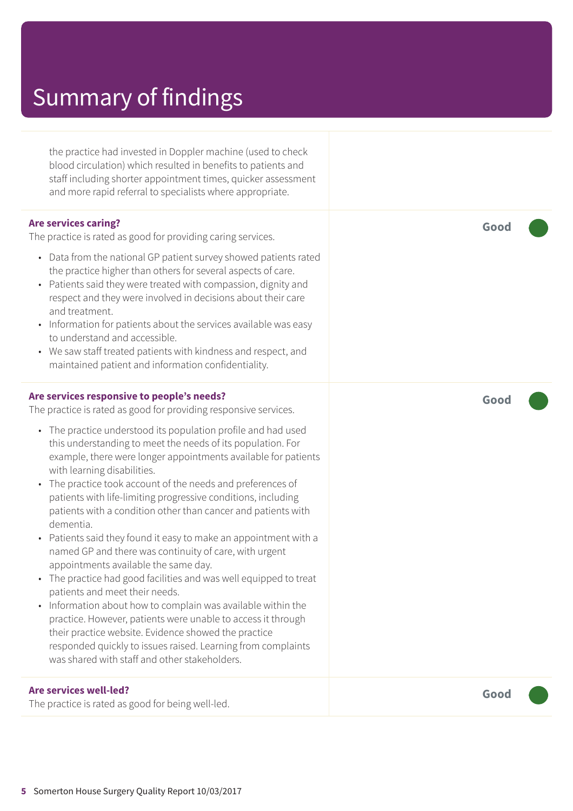the practice had invested in Doppler machine (used to check blood circulation) which resulted in benefits to patients and staff including shorter appointment times, quicker assessment and more rapid referral to specialists where appropriate.

#### **Are services caring?**

The practice is rated as good for providing caring services.

- Data from the national GP patient survey showed patients rated the practice higher than others for several aspects of care.
- Patients said they were treated with compassion, dignity and respect and they were involved in decisions about their care and treatment.
- Information for patients about the services available was easy to understand and accessible.
- We saw staff treated patients with kindness and respect, and maintained patient and information confidentiality.

#### **Are services responsive to people's needs?**

The practice is rated as good for providing responsive services.

- The practice understood its population profile and had used this understanding to meet the needs of its population. For example, there were longer appointments available for patients with learning disabilities.
- The practice took account of the needs and preferences of patients with life-limiting progressive conditions, including patients with a condition other than cancer and patients with dementia.
- Patients said they found it easy to make an appointment with a named GP and there was continuity of care, with urgent appointments available the same day.
- The practice had good facilities and was well equipped to treat patients and meet their needs.
- Information about how to complain was available within the practice. However, patients were unable to access it through their practice website. Evidence showed the practice responded quickly to issues raised. Learning from complaints was shared with staff and other stakeholders.

#### **Are services well-led?**

The practice is rated as good for being well-led.

**Good –––**

**Good –––**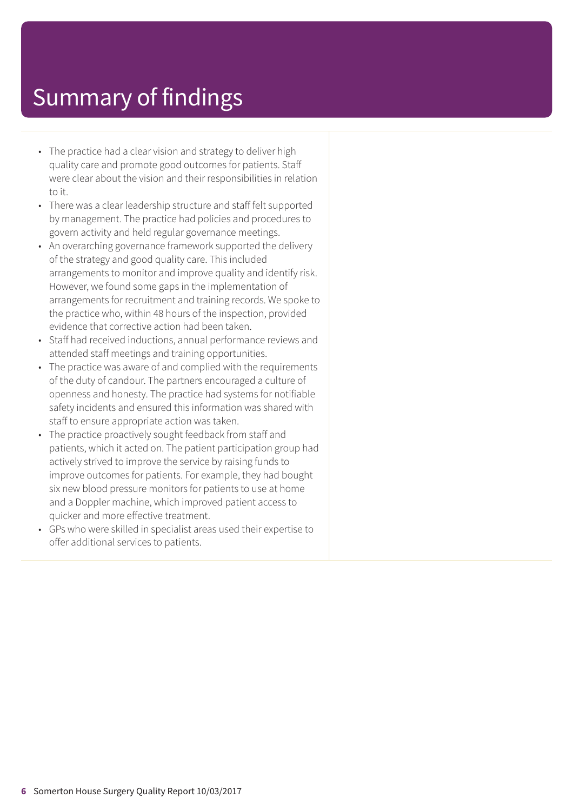- The practice had a clear vision and strategy to deliver high quality care and promote good outcomes for patients. Staff were clear about the vision and their responsibilities in relation to it.
- There was a clear leadership structure and staff felt supported by management. The practice had policies and procedures to govern activity and held regular governance meetings.
- An overarching governance framework supported the delivery of the strategy and good quality care. This included arrangements to monitor and improve quality and identify risk. However, we found some gaps in the implementation of arrangements for recruitment and training records. We spoke to the practice who, within 48 hours of the inspection, provided evidence that corrective action had been taken.
- Staff had received inductions, annual performance reviews and attended staff meetings and training opportunities.
- The practice was aware of and complied with the requirements of the duty of candour. The partners encouraged a culture of openness and honesty. The practice had systems for notifiable safety incidents and ensured this information was shared with staff to ensure appropriate action was taken.
- The practice proactively sought feedback from staff and patients, which it acted on. The patient participation group had actively strived to improve the service by raising funds to improve outcomes for patients. For example, they had bought six new blood pressure monitors for patients to use at home and a Doppler machine, which improved patient access to quicker and more effective treatment.
- GPs who were skilled in specialist areas used their expertise to offer additional services to patients.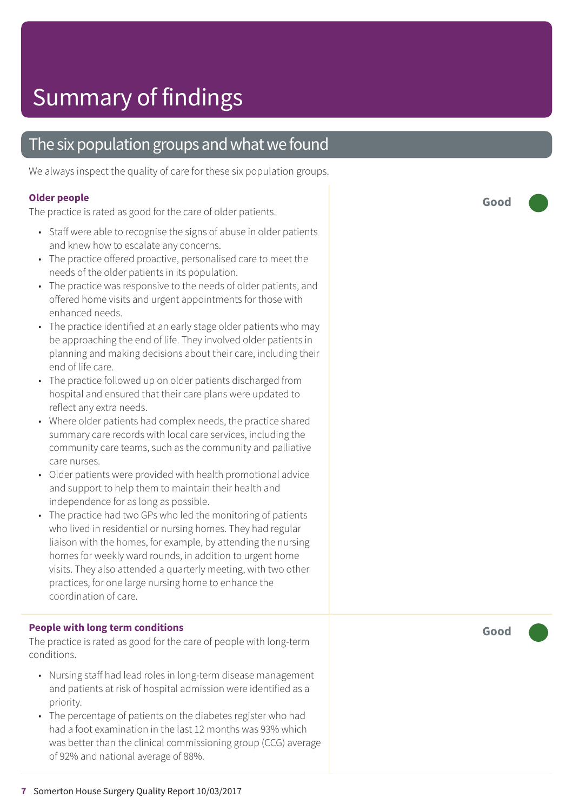### The six population groups and what we found

We always inspect the quality of care for these six population groups.

#### **Older people**

The practice is rated as good for the care of older patients.

- Staff were able to recognise the signs of abuse in older patients and knew how to escalate any concerns.
- The practice offered proactive, personalised care to meet the needs of the older patients in its population.
- The practice was responsive to the needs of older patients, and offered home visits and urgent appointments for those with enhanced needs.
- The practice identified at an early stage older patients who may be approaching the end of life. They involved older patients in planning and making decisions about their care, including their end of life care.
- The practice followed up on older patients discharged from hospital and ensured that their care plans were updated to reflect any extra needs.
- Where older patients had complex needs, the practice shared summary care records with local care services, including the community care teams, such as the community and palliative care nurses.
- Older patients were provided with health promotional advice and support to help them to maintain their health and independence for as long as possible.
- The practice had two GPs who led the monitoring of patients who lived in residential or nursing homes. They had regular liaison with the homes, for example, by attending the nursing homes for weekly ward rounds, in addition to urgent home visits. They also attended a quarterly meeting, with two other practices, for one large nursing home to enhance the coordination of care.

#### **People with long term conditions**

The practice is rated as good for the care of people with long-term conditions.

- Nursing staff had lead roles in long-term disease management and patients at risk of hospital admission were identified as a priority.
- The percentage of patients on the diabetes register who had had a foot examination in the last 12 months was 93% which was better than the clinical commissioning group (CCG) average of 92% and national average of 88%.

**Good –––**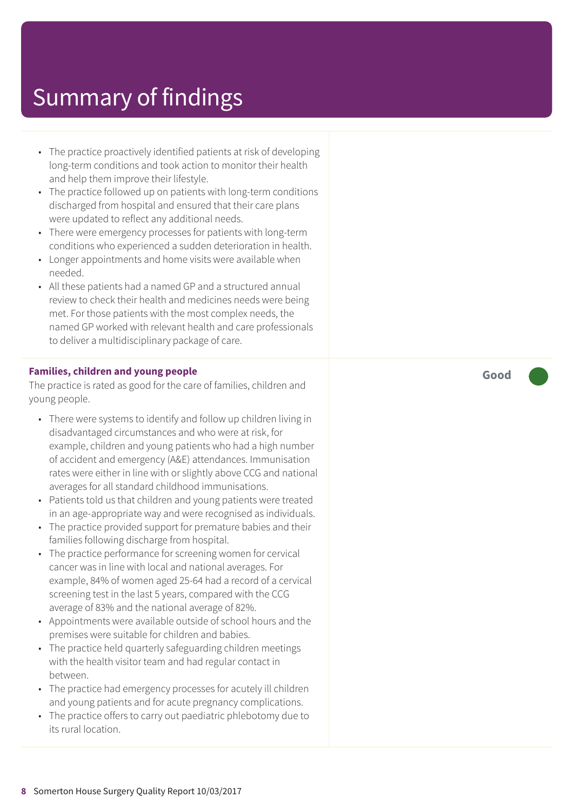- The practice proactively identified patients at risk of developing long-term conditions and took action to monitor their health and help them improve their lifestyle.
- The practice followed up on patients with long-term conditions discharged from hospital and ensured that their care plans were updated to reflect any additional needs.
- There were emergency processes for patients with long-term conditions who experienced a sudden deterioration in health.
- Longer appointments and home visits were available when needed.
- All these patients had a named GP and a structured annual review to check their health and medicines needs were being met. For those patients with the most complex needs, the named GP worked with relevant health and care professionals to deliver a multidisciplinary package of care.

#### **Families, children and young people**

The practice is rated as good for the care of families, children and young people.

- There were systems to identify and follow up children living in disadvantaged circumstances and who were at risk, for example, children and young patients who had a high number of accident and emergency (A&E) attendances. Immunisation rates were either in line with or slightly above CCG and national averages for all standard childhood immunisations.
- Patients told us that children and young patients were treated in an age-appropriate way and were recognised as individuals.
- The practice provided support for premature babies and their families following discharge from hospital.
- The practice performance for screening women for cervical cancer was in line with local and national averages. For example, 84% of women aged 25-64 had a record of a cervical screening test in the last 5 years, compared with the CCG average of 83% and the national average of 82%.
- Appointments were available outside of school hours and the premises were suitable for children and babies.
- The practice held quarterly safeguarding children meetings with the health visitor team and had regular contact in between.
- The practice had emergency processes for acutely ill children and young patients and for acute pregnancy complications.
- The practice offers to carry out paediatric phlebotomy due to its rural location.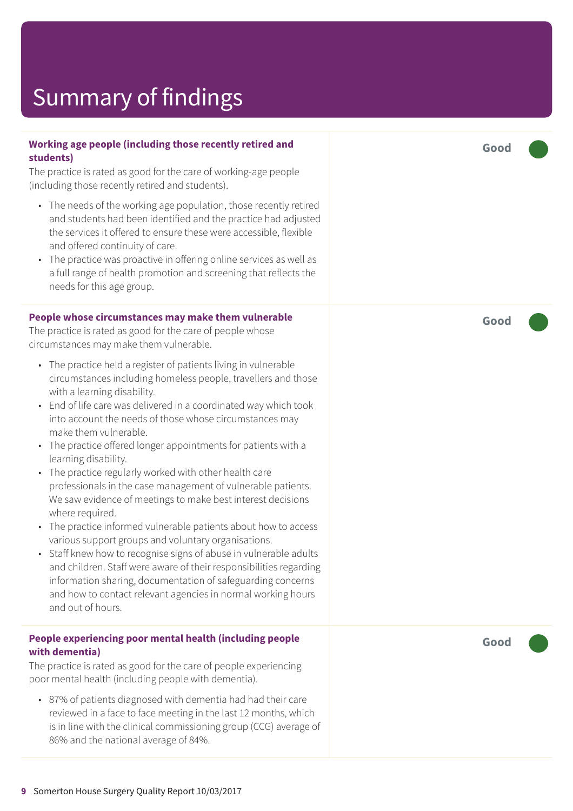#### **Working age people (including those recently retired and students)**

The practice is rated as good for the care of working-age people (including those recently retired and students).

- The needs of the working age population, those recently retired and students had been identified and the practice had adjusted the services it offered to ensure these were accessible, flexible and offered continuity of care.
- The practice was proactive in offering online services as well as a full range of health promotion and screening that reflects the needs for this age group.

#### **People whose circumstances may make them vulnerable**

The practice is rated as good for the care of people whose circumstances may make them vulnerable.

- The practice held a register of patients living in vulnerable circumstances including homeless people, travellers and those with a learning disability.
- End of life care was delivered in a coordinated way which took into account the needs of those whose circumstances may make them vulnerable.
- The practice offered longer appointments for patients with a learning disability.
- The practice regularly worked with other health care professionals in the case management of vulnerable patients. We saw evidence of meetings to make best interest decisions where required.
- The practice informed vulnerable patients about how to access various support groups and voluntary organisations.
- Staff knew how to recognise signs of abuse in vulnerable adults and children. Staff were aware of their responsibilities regarding information sharing, documentation of safeguarding concerns and how to contact relevant agencies in normal working hours and out of hours.

#### **People experiencing poor mental health (including people with dementia)**

The practice is rated as good for the care of people experiencing poor mental health (including people with dementia).

• 87% of patients diagnosed with dementia had had their care reviewed in a face to face meeting in the last 12 months, which is in line with the clinical commissioning group (CCG) average of 86% and the national average of 84%.

**Good –––**

**Good –––**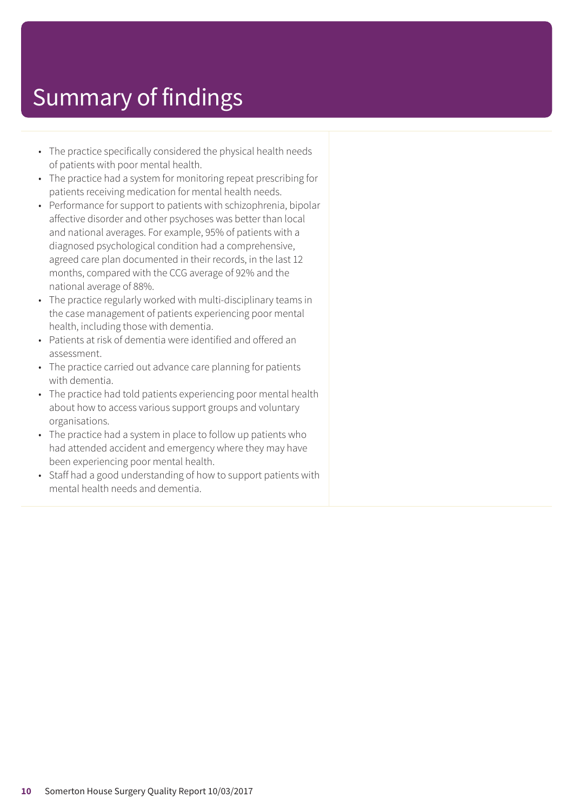- The practice specifically considered the physical health needs of patients with poor mental health.
- The practice had a system for monitoring repeat prescribing for patients receiving medication for mental health needs.
- Performance for support to patients with schizophrenia, bipolar affective disorder and other psychoses was better than local and national averages. For example, 95% of patients with a diagnosed psychological condition had a comprehensive, agreed care plan documented in their records, in the last 12 months, compared with the CCG average of 92% and the national average of 88%.
- The practice regularly worked with multi-disciplinary teams in the case management of patients experiencing poor mental health, including those with dementia.
- Patients at risk of dementia were identified and offered an assessment.
- The practice carried out advance care planning for patients with dementia.
- The practice had told patients experiencing poor mental health about how to access various support groups and voluntary organisations.
- The practice had a system in place to follow up patients who had attended accident and emergency where they may have been experiencing poor mental health.
- Staff had a good understanding of how to support patients with mental health needs and dementia.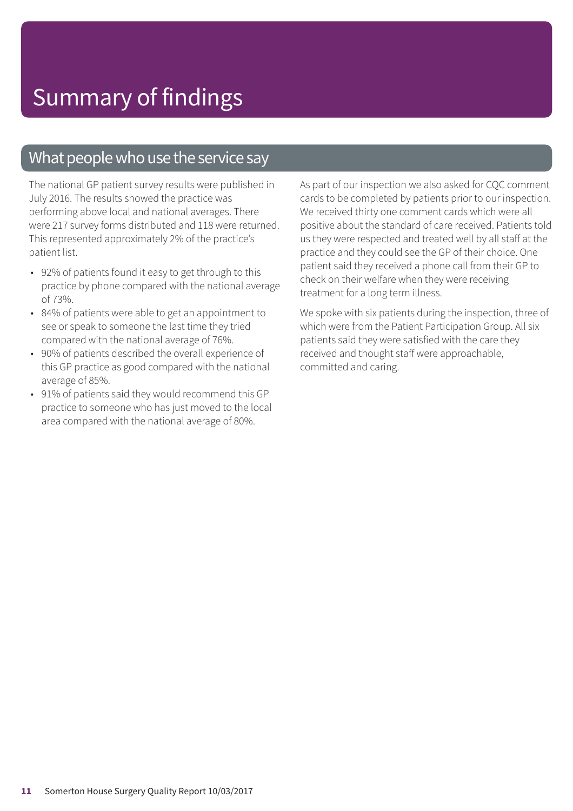### What people who use the service say

The national GP patient survey results were published in July 2016. The results showed the practice was performing above local and national averages. There were 217 survey forms distributed and 118 were returned. This represented approximately 2% of the practice's patient list.

- 92% of patients found it easy to get through to this practice by phone compared with the national average of 73%.
- 84% of patients were able to get an appointment to see or speak to someone the last time they tried compared with the national average of 76%.
- 90% of patients described the overall experience of this GP practice as good compared with the national average of 85%.
- 91% of patients said they would recommend this GP practice to someone who has just moved to the local area compared with the national average of 80%.

As part of our inspection we also asked for CQC comment cards to be completed by patients prior to our inspection. We received thirty one comment cards which were all positive about the standard of care received. Patients told us they were respected and treated well by all staff at the practice and they could see the GP of their choice. One patient said they received a phone call from their GP to check on their welfare when they were receiving treatment for a long term illness.

We spoke with six patients during the inspection, three of which were from the Patient Participation Group. All six patients said they were satisfied with the care they received and thought staff were approachable, committed and caring.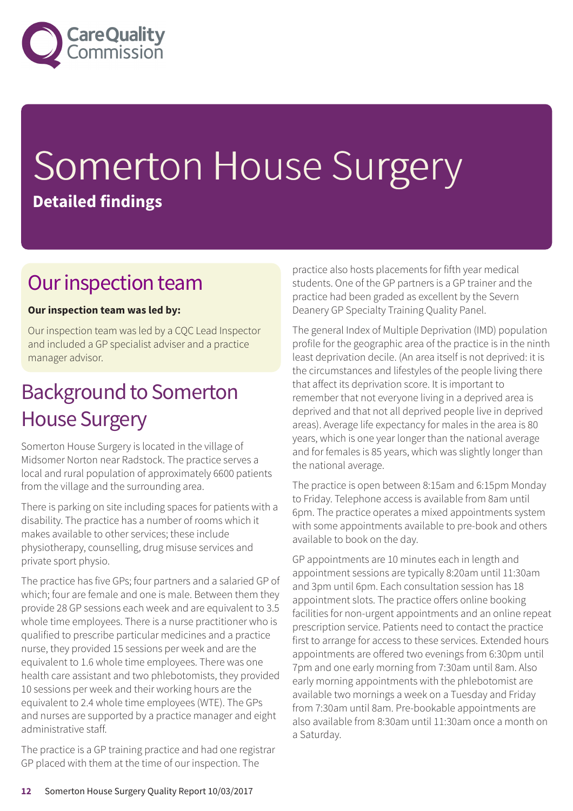

# Somerton House Surgery **Detailed findings**

### Our inspection team

### **Our inspection team was led by:**

Our inspection team was led by a CQC Lead Inspector and included a GP specialist adviser and a practice manager advisor.

### **Background to Somerton** House Surgery

Somerton House Surgery is located in the village of Midsomer Norton near Radstock. The practice serves a local and rural population of approximately 6600 patients from the village and the surrounding area.

There is parking on site including spaces for patients with a disability. The practice has a number of rooms which it makes available to other services; these include physiotherapy, counselling, drug misuse services and private sport physio.

The practice has five GPs; four partners and a salaried GP of which; four are female and one is male. Between them they provide 28 GP sessions each week and are equivalent to 3.5 whole time employees. There is a nurse practitioner who is qualified to prescribe particular medicines and a practice nurse, they provided 15 sessions per week and are the equivalent to 1.6 whole time employees. There was one health care assistant and two phlebotomists, they provided 10 sessions per week and their working hours are the equivalent to 2.4 whole time employees (WTE). The GPs and nurses are supported by a practice manager and eight administrative staff.

The practice is a GP training practice and had one registrar GP placed with them at the time of our inspection. The

practice also hosts placements for fifth year medical students. One of the GP partners is a GP trainer and the practice had been graded as excellent by the Severn Deanery GP Specialty Training Quality Panel.

The general Index of Multiple Deprivation (IMD) population profile for the geographic area of the practice is in the ninth least deprivation decile. (An area itself is not deprived: it is the circumstances and lifestyles of the people living there that affect its deprivation score. It is important to remember that not everyone living in a deprived area is deprived and that not all deprived people live in deprived areas). Average life expectancy for males in the area is 80 years, which is one year longer than the national average and for females is 85 years, which was slightly longer than the national average.

The practice is open between 8:15am and 6:15pm Monday to Friday. Telephone access is available from 8am until 6pm. The practice operates a mixed appointments system with some appointments available to pre-book and others available to book on the day.

GP appointments are 10 minutes each in length and appointment sessions are typically 8:20am until 11:30am and 3pm until 6pm. Each consultation session has 18 appointment slots. The practice offers online booking facilities for non-urgent appointments and an online repeat prescription service. Patients need to contact the practice first to arrange for access to these services. Extended hours appointments are offered two evenings from 6:30pm until 7pm and one early morning from 7:30am until 8am. Also early morning appointments with the phlebotomist are available two mornings a week on a Tuesday and Friday from 7:30am until 8am. Pre-bookable appointments are also available from 8:30am until 11:30am once a month on a Saturday.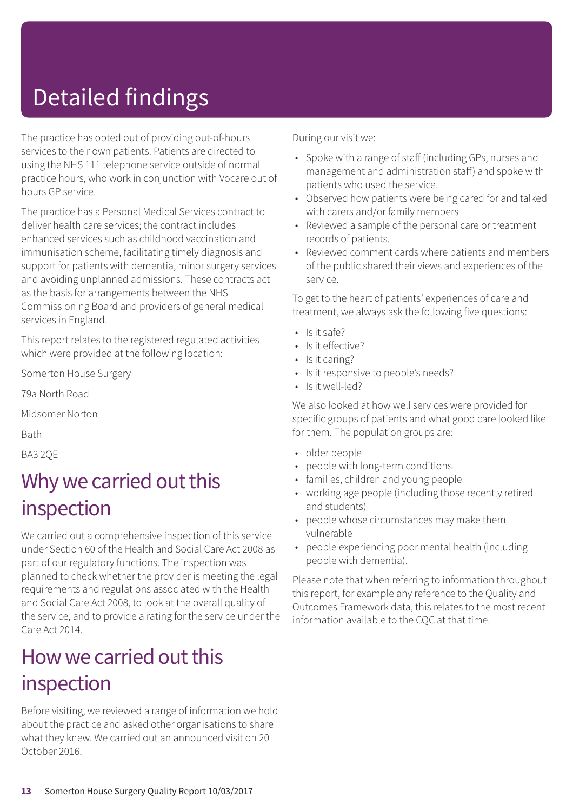# Detailed findings

The practice has opted out of providing out-of-hours services to their own patients. Patients are directed to using the NHS 111 telephone service outside of normal practice hours, who work in conjunction with Vocare out of hours GP service.

The practice has a Personal Medical Services contract to deliver health care services; the contract includes enhanced services such as childhood vaccination and immunisation scheme, facilitating timely diagnosis and support for patients with dementia, minor surgery services and avoiding unplanned admissions. These contracts act as the basis for arrangements between the NHS Commissioning Board and providers of general medical services in England.

This report relates to the registered regulated activities which were provided at the following location:

Somerton House Surgery

79a North Road

Midsomer Norton

Bath

BA3 2QE

### Why we carried out this inspection

We carried out a comprehensive inspection of this service under Section 60 of the Health and Social Care Act 2008 as part of our regulatory functions. The inspection was planned to check whether the provider is meeting the legal requirements and regulations associated with the Health and Social Care Act 2008, to look at the overall quality of the service, and to provide a rating for the service under the Care Act 2014.

### How we carried out this inspection

Before visiting, we reviewed a range of information we hold about the practice and asked other organisations to share what they knew. We carried out an announced visit on 20 October 2016.

During our visit we:

- Spoke with a range of staff (including GPs, nurses and management and administration staff) and spoke with patients who used the service.
- Observed how patients were being cared for and talked with carers and/or family members
- Reviewed a sample of the personal care or treatment records of patients.
- Reviewed comment cards where patients and members of the public shared their views and experiences of the service.

To get to the heart of patients' experiences of care and treatment, we always ask the following five questions:

- Is it safe?
- Is it effective?
- Is it caring?
- Is it responsive to people's needs?
- Is it well-led?

We also looked at how well services were provided for specific groups of patients and what good care looked like for them. The population groups are:

- older people
- people with long-term conditions
- families, children and young people
- working age people (including those recently retired and students)
- people whose circumstances may make them vulnerable
- people experiencing poor mental health (including people with dementia).

Please note that when referring to information throughout this report, for example any reference to the Quality and Outcomes Framework data, this relates to the most recent information available to the CQC at that time.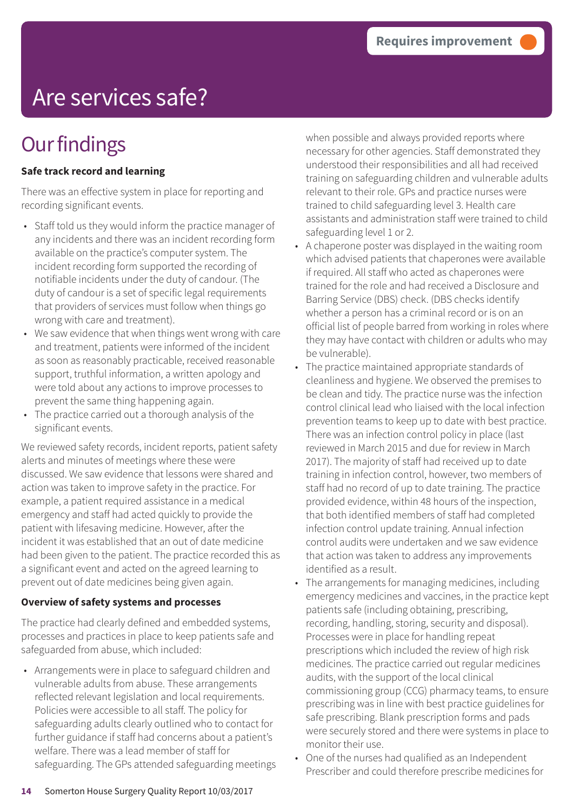# Are services safe?

## **Our findings**

### **Safe track record and learning**

There was an effective system in place for reporting and recording significant events.

- Staff told us they would inform the practice manager of any incidents and there was an incident recording form available on the practice's computer system. The incident recording form supported the recording of notifiable incidents under the duty of candour. (The duty of candour is a set of specific legal requirements that providers of services must follow when things go wrong with care and treatment).
- We saw evidence that when things went wrong with care and treatment, patients were informed of the incident as soon as reasonably practicable, received reasonable support, truthful information, a written apology and were told about any actions to improve processes to prevent the same thing happening again.
- The practice carried out a thorough analysis of the significant events.

We reviewed safety records, incident reports, patient safety alerts and minutes of meetings where these were discussed. We saw evidence that lessons were shared and action was taken to improve safety in the practice. For example, a patient required assistance in a medical emergency and staff had acted quickly to provide the patient with lifesaving medicine. However, after the incident it was established that an out of date medicine had been given to the patient. The practice recorded this as a significant event and acted on the agreed learning to prevent out of date medicines being given again.

### **Overview of safety systems and processes**

The practice had clearly defined and embedded systems, processes and practices in place to keep patients safe and safeguarded from abuse, which included:

• Arrangements were in place to safeguard children and vulnerable adults from abuse. These arrangements reflected relevant legislation and local requirements. Policies were accessible to all staff. The policy for safeguarding adults clearly outlined who to contact for further guidance if staff had concerns about a patient's welfare. There was a lead member of staff for safeguarding. The GPs attended safeguarding meetings when possible and always provided reports where necessary for other agencies. Staff demonstrated they understood their responsibilities and all had received training on safeguarding children and vulnerable adults relevant to their role. GPs and practice nurses were trained to child safeguarding level 3. Health care assistants and administration staff were trained to child safeguarding level 1 or 2.

- A chaperone poster was displayed in the waiting room which advised patients that chaperones were available if required. All staff who acted as chaperones were trained for the role and had received a Disclosure and Barring Service (DBS) check. (DBS checks identify whether a person has a criminal record or is on an official list of people barred from working in roles where they may have contact with children or adults who may be vulnerable).
- The practice maintained appropriate standards of cleanliness and hygiene. We observed the premises to be clean and tidy. The practice nurse was the infection control clinical lead who liaised with the local infection prevention teams to keep up to date with best practice. There was an infection control policy in place (last reviewed in March 2015 and due for review in March 2017). The majority of staff had received up to date training in infection control, however, two members of staff had no record of up to date training. The practice provided evidence, within 48 hours of the inspection, that both identified members of staff had completed infection control update training. Annual infection control audits were undertaken and we saw evidence that action was taken to address any improvements identified as a result.
- The arrangements for managing medicines, including emergency medicines and vaccines, in the practice kept patients safe (including obtaining, prescribing, recording, handling, storing, security and disposal). Processes were in place for handling repeat prescriptions which included the review of high risk medicines. The practice carried out regular medicines audits, with the support of the local clinical commissioning group (CCG) pharmacy teams, to ensure prescribing was in line with best practice guidelines for safe prescribing. Blank prescription forms and pads were securely stored and there were systems in place to monitor their use.
- One of the nurses had qualified as an Independent Prescriber and could therefore prescribe medicines for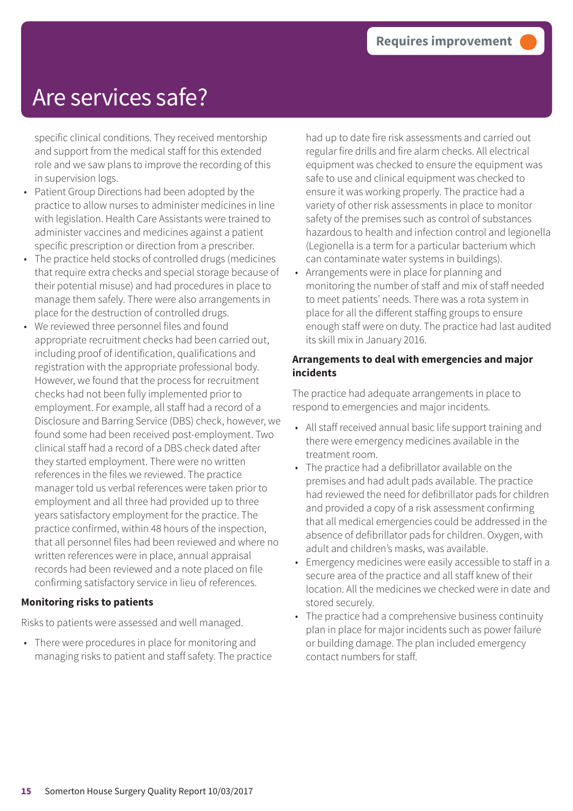### Are services safe?

specific clinical conditions. They received mentorship and support from the medical staff for this extended role and we saw plans to improve the recording of this in supervision logs.

- Patient Group Directions had been adopted by the practice to allow nurses to administer medicines in line with legislation. Health Care Assistants were trained to administer vaccines and medicines against a patient specific prescription or direction from a prescriber.
- The practice held stocks of controlled drugs (medicines that require extra checks and special storage because of their potential misuse) and had procedures in place to manage them safely. There were also arrangements in place for the destruction of controlled drugs.
- We reviewed three personnel files and found appropriate recruitment checks had been carried out, including proof of identification, qualifications and registration with the appropriate professional body. However, we found that the process for recruitment checks had not been fully implemented prior to employment. For example, all staff had a record of a Disclosure and Barring Service (DBS) check, however, we found some had been received post-employment. Two clinical staff had a record of a DBS check dated after they started employment. There were no written references in the files we reviewed. The practice manager told us verbal references were taken prior to employment and all three had provided up to three years satisfactory employment for the practice. The practice confirmed, within 48 hours of the inspection, that all personnel files had been reviewed and where no written references were in place, annual appraisal records had been reviewed and a note placed on file confirming satisfactory service in lieu of references.

#### **Monitoring risks to patients**

Risks to patients were assessed and well managed.

• There were procedures in place for monitoring and managing risks to patient and staff safety. The practice had up to date fire risk assessments and carried out regular fire drills and fire alarm checks. All electrical equipment was checked to ensure the equipment was safe to use and clinical equipment was checked to ensure it was working properly. The practice had a variety of other risk assessments in place to monitor safety of the premises such as control of substances hazardous to health and infection control and legionella (Legionella is a term for a particular bacterium which can contaminate water systems in buildings).

• Arrangements were in place for planning and monitoring the number of staff and mix of staff needed to meet patients' needs. There was a rota system in place for all the different staffing groups to ensure enough staff were on duty. The practice had last audited its skill mix in January 2016.

#### **Arrangements to deal with emergencies and major incidents**

The practice had adequate arrangements in place to respond to emergencies and major incidents.

- All staff received annual basic life support training and there were emergency medicines available in the treatment room.
- The practice had a defibrillator available on the premises and had adult pads available. The practice had reviewed the need for defibrillator pads for children and provided a copy of a risk assessment confirming that all medical emergencies could be addressed in the absence of defibrillator pads for children. Oxygen, with adult and children's masks, was available.
- Emergency medicines were easily accessible to staff in a secure area of the practice and all staff knew of their location. All the medicines we checked were in date and stored securely.
- The practice had a comprehensive business continuity plan in place for major incidents such as power failure or building damage. The plan included emergency contact numbers for staff.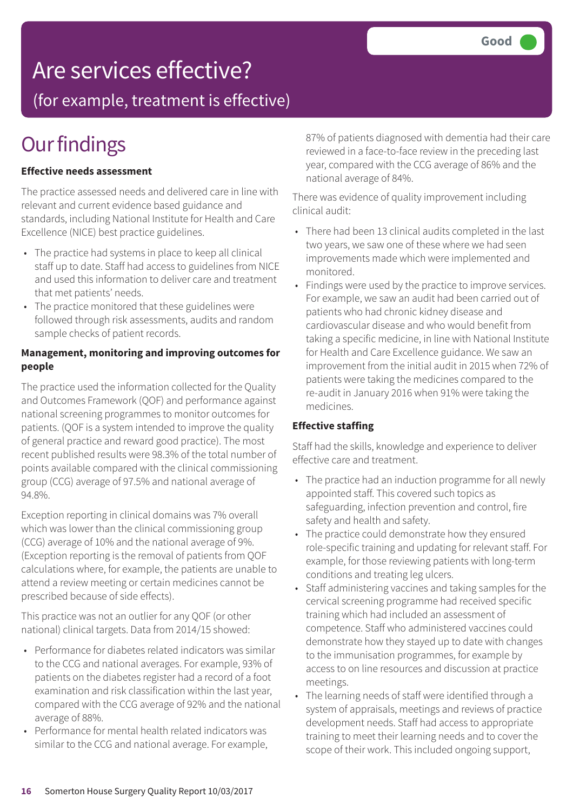### Are services effective?

(for example, treatment is effective)

## **Our findings**

### **Effective needs assessment**

The practice assessed needs and delivered care in line with relevant and current evidence based guidance and standards, including National Institute for Health and Care Excellence (NICE) best practice guidelines.

- The practice had systems in place to keep all clinical staff up to date. Staff had access to guidelines from NICE and used this information to deliver care and treatment that met patients' needs.
- The practice monitored that these guidelines were followed through risk assessments, audits and random sample checks of patient records.

### **Management, monitoring and improving outcomes for people**

The practice used the information collected for the Quality and Outcomes Framework (QOF) and performance against national screening programmes to monitor outcomes for patients. (QOF is a system intended to improve the quality of general practice and reward good practice). The most recent published results were 98.3% of the total number of points available compared with the clinical commissioning group (CCG) average of 97.5% and national average of 94.8%.

Exception reporting in clinical domains was 7% overall which was lower than the clinical commissioning group (CCG) average of 10% and the national average of 9%. (Exception reporting is the removal of patients from QOF calculations where, for example, the patients are unable to attend a review meeting or certain medicines cannot be prescribed because of side effects).

This practice was not an outlier for any QOF (or other national) clinical targets. Data from 2014/15 showed:

- Performance for diabetes related indicators was similar to the CCG and national averages. For example, 93% of patients on the diabetes register had a record of a foot examination and risk classification within the last year, compared with the CCG average of 92% and the national average of 88%.
- Performance for mental health related indicators was similar to the CCG and national average. For example,

87% of patients diagnosed with dementia had their care reviewed in a face-to-face review in the preceding last year, compared with the CCG average of 86% and the national average of 84%.

There was evidence of quality improvement including clinical audit:

- There had been 13 clinical audits completed in the last two years, we saw one of these where we had seen improvements made which were implemented and monitored.
- Findings were used by the practice to improve services. For example, we saw an audit had been carried out of patients who had chronic kidney disease and cardiovascular disease and who would benefit from taking a specific medicine, in line with National Institute for Health and Care Excellence guidance. We saw an improvement from the initial audit in 2015 when 72% of patients were taking the medicines compared to the re-audit in January 2016 when 91% were taking the medicines.

### **Effective staffing**

Staff had the skills, knowledge and experience to deliver effective care and treatment.

- The practice had an induction programme for all newly appointed staff. This covered such topics as safeguarding, infection prevention and control, fire safety and health and safety.
- The practice could demonstrate how they ensured role-specific training and updating for relevant staff. For example, for those reviewing patients with long-term conditions and treating leg ulcers.
- Staff administering vaccines and taking samples for the cervical screening programme had received specific training which had included an assessment of competence. Staff who administered vaccines could demonstrate how they stayed up to date with changes to the immunisation programmes, for example by access to on line resources and discussion at practice meetings.
- The learning needs of staff were identified through a system of appraisals, meetings and reviews of practice development needs. Staff had access to appropriate training to meet their learning needs and to cover the scope of their work. This included ongoing support,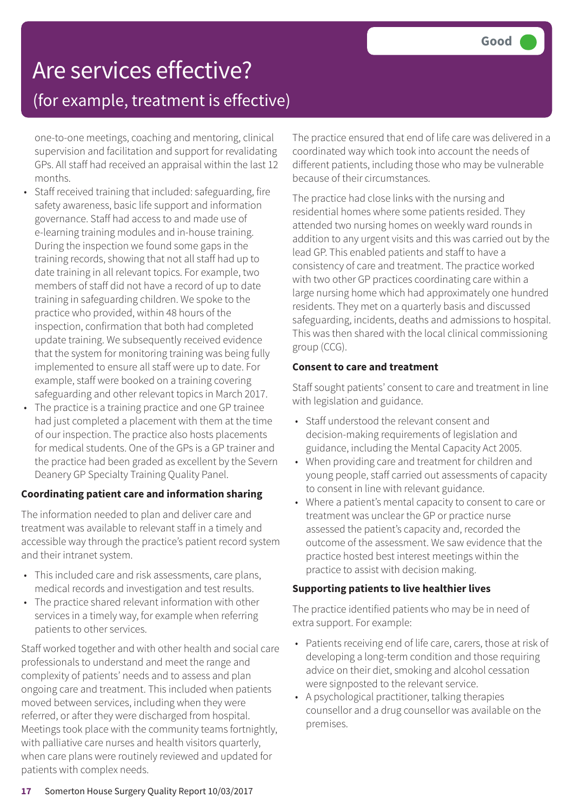### Are services effective? (for example, treatment is effective)

one-to-one meetings, coaching and mentoring, clinical supervision and facilitation and support for revalidating GPs. All staff had received an appraisal within the last 12 months.

- Staff received training that included: safeguarding, fire safety awareness, basic life support and information governance. Staff had access to and made use of e-learning training modules and in-house training. During the inspection we found some gaps in the training records, showing that not all staff had up to date training in all relevant topics. For example, two members of staff did not have a record of up to date training in safeguarding children. We spoke to the practice who provided, within 48 hours of the inspection, confirmation that both had completed update training. We subsequently received evidence that the system for monitoring training was being fully implemented to ensure all staff were up to date. For example, staff were booked on a training covering safeguarding and other relevant topics in March 2017.
- The practice is a training practice and one GP trainee had just completed a placement with them at the time of our inspection. The practice also hosts placements for medical students. One of the GPs is a GP trainer and the practice had been graded as excellent by the Severn Deanery GP Specialty Training Quality Panel.

### **Coordinating patient care and information sharing**

The information needed to plan and deliver care and treatment was available to relevant staff in a timely and accessible way through the practice's patient record system and their intranet system.

- This included care and risk assessments, care plans, medical records and investigation and test results.
- The practice shared relevant information with other services in a timely way, for example when referring patients to other services.

Staff worked together and with other health and social care professionals to understand and meet the range and complexity of patients' needs and to assess and plan ongoing care and treatment. This included when patients moved between services, including when they were referred, or after they were discharged from hospital. Meetings took place with the community teams fortnightly, with palliative care nurses and health visitors quarterly, when care plans were routinely reviewed and updated for patients with complex needs.

The practice ensured that end of life care was delivered in a coordinated way which took into account the needs of different patients, including those who may be vulnerable because of their circumstances.

The practice had close links with the nursing and residential homes where some patients resided. They attended two nursing homes on weekly ward rounds in addition to any urgent visits and this was carried out by the lead GP. This enabled patients and staff to have a consistency of care and treatment. The practice worked with two other GP practices coordinating care within a large nursing home which had approximately one hundred residents. They met on a quarterly basis and discussed safeguarding, incidents, deaths and admissions to hospital. This was then shared with the local clinical commissioning group (CCG).

### **Consent to care and treatment**

Staff sought patients' consent to care and treatment in line with legislation and guidance.

- Staff understood the relevant consent and decision-making requirements of legislation and guidance, including the Mental Capacity Act 2005.
- When providing care and treatment for children and young people, staff carried out assessments of capacity to consent in line with relevant guidance.
- Where a patient's mental capacity to consent to care or treatment was unclear the GP or practice nurse assessed the patient's capacity and, recorded the outcome of the assessment. We saw evidence that the practice hosted best interest meetings within the practice to assist with decision making.

### **Supporting patients to live healthier lives**

The practice identified patients who may be in need of extra support. For example:

- Patients receiving end of life care, carers, those at risk of developing a long-term condition and those requiring advice on their diet, smoking and alcohol cessation were signposted to the relevant service.
- A psychological practitioner, talking therapies counsellor and a drug counsellor was available on the premises.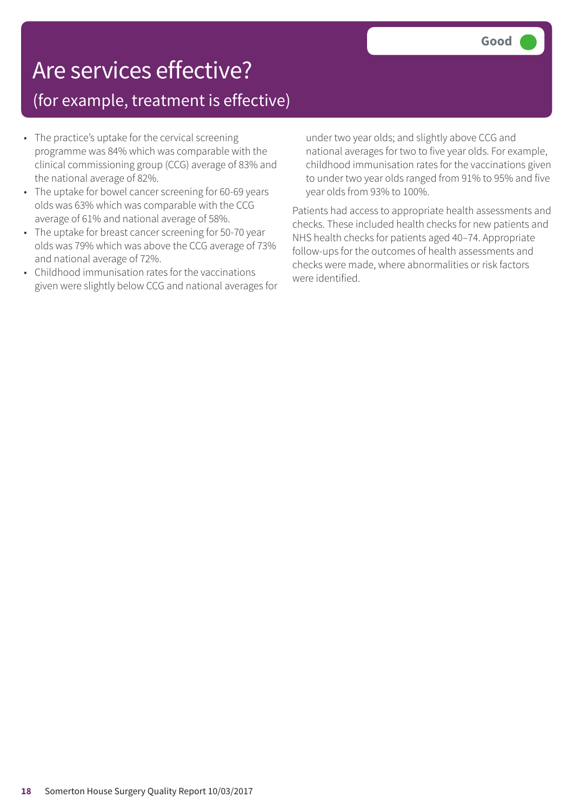## Are services effective?

### (for example, treatment is effective)

- The practice's uptake for the cervical screening programme was 84% which was comparable with the clinical commissioning group (CCG) average of 83% and the national average of 82%.
- The uptake for bowel cancer screening for 60-69 years olds was 63% which was comparable with the CCG average of 61% and national average of 58%.
- The uptake for breast cancer screening for 50-70 year olds was 79% which was above the CCG average of 73% and national average of 72%.
- Childhood immunisation rates for the vaccinations given were slightly below CCG and national averages for

under two year olds; and slightly above CCG and national averages for two to five year olds. For example, childhood immunisation rates for the vaccinations given to under two year olds ranged from 91% to 95% and five year olds from 93% to 100%.

Patients had access to appropriate health assessments and checks. These included health checks for new patients and NHS health checks for patients aged 40–74. Appropriate follow-ups for the outcomes of health assessments and checks were made, where abnormalities or risk factors were identified.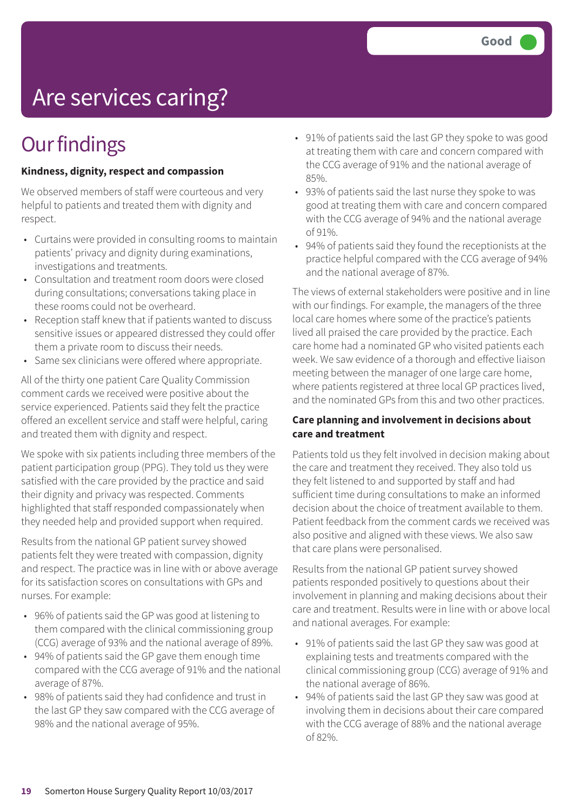# Are services caring?

## **Our findings**

### **Kindness, dignity, respect and compassion**

We observed members of staff were courteous and very helpful to patients and treated them with dignity and respect.

- Curtains were provided in consulting rooms to maintain patients' privacy and dignity during examinations, investigations and treatments.
- Consultation and treatment room doors were closed during consultations; conversations taking place in these rooms could not be overheard.
- Reception staff knew that if patients wanted to discuss sensitive issues or appeared distressed they could offer them a private room to discuss their needs.
- Same sex clinicians were offered where appropriate.

All of the thirty one patient Care Quality Commission comment cards we received were positive about the service experienced. Patients said they felt the practice offered an excellent service and staff were helpful, caring and treated them with dignity and respect.

We spoke with six patients including three members of the patient participation group (PPG). They told us they were satisfied with the care provided by the practice and said their dignity and privacy was respected. Comments highlighted that staff responded compassionately when they needed help and provided support when required.

Results from the national GP patient survey showed patients felt they were treated with compassion, dignity and respect. The practice was in line with or above average for its satisfaction scores on consultations with GPs and nurses. For example:

- 96% of patients said the GP was good at listening to them compared with the clinical commissioning group (CCG) average of 93% and the national average of 89%.
- 94% of patients said the GP gave them enough time compared with the CCG average of 91% and the national average of 87%.
- 98% of patients said they had confidence and trust in the last GP they saw compared with the CCG average of 98% and the national average of 95%.
- 91% of patients said the last GP they spoke to was good at treating them with care and concern compared with the CCG average of 91% and the national average of 85%.
- 93% of patients said the last nurse they spoke to was good at treating them with care and concern compared with the CCG average of 94% and the national average of 91%.
- 94% of patients said they found the receptionists at the practice helpful compared with the CCG average of 94% and the national average of 87%.

The views of external stakeholders were positive and in line with our findings. For example, the managers of the three local care homes where some of the practice's patients lived all praised the care provided by the practice. Each care home had a nominated GP who visited patients each week. We saw evidence of a thorough and effective liaison meeting between the manager of one large care home, where patients registered at three local GP practices lived, and the nominated GPs from this and two other practices.

### **Care planning and involvement in decisions about care and treatment**

Patients told us they felt involved in decision making about the care and treatment they received. They also told us they felt listened to and supported by staff and had sufficient time during consultations to make an informed decision about the choice of treatment available to them. Patient feedback from the comment cards we received was also positive and aligned with these views. We also saw that care plans were personalised.

Results from the national GP patient survey showed patients responded positively to questions about their involvement in planning and making decisions about their care and treatment. Results were in line with or above local and national averages. For example:

- 91% of patients said the last GP they saw was good at explaining tests and treatments compared with the clinical commissioning group (CCG) average of 91% and the national average of 86%.
- 94% of patients said the last GP they saw was good at involving them in decisions about their care compared with the CCG average of 88% and the national average of 82%.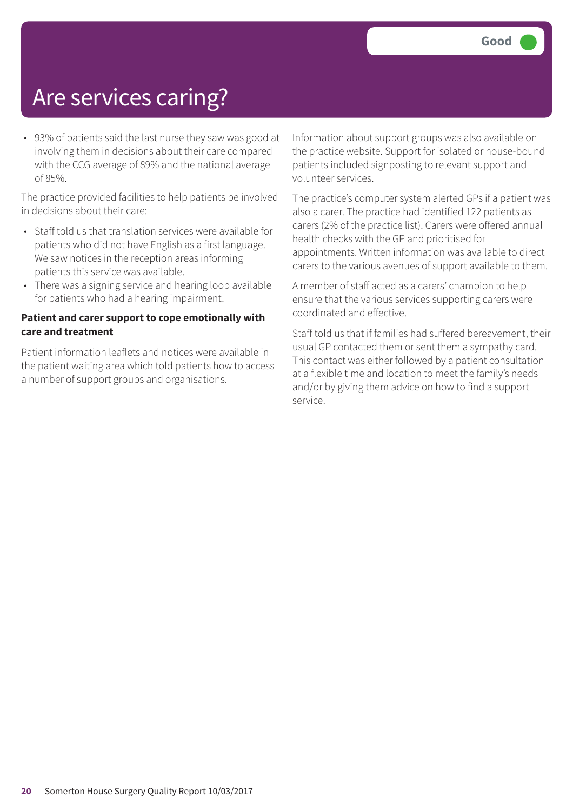## Are services caring?

• 93% of patients said the last nurse they saw was good at involving them in decisions about their care compared with the CCG average of 89% and the national average of 85%.

The practice provided facilities to help patients be involved in decisions about their care:

- Staff told us that translation services were available for patients who did not have English as a first language. We saw notices in the reception areas informing patients this service was available.
- There was a signing service and hearing loop available for patients who had a hearing impairment.

#### **Patient and carer support to cope emotionally with care and treatment**

Patient information leaflets and notices were available in the patient waiting area which told patients how to access a number of support groups and organisations.

Information about support groups was also available on the practice website. Support for isolated or house-bound patients included signposting to relevant support and volunteer services.

The practice's computer system alerted GPs if a patient was also a carer. The practice had identified 122 patients as carers (2% of the practice list). Carers were offered annual health checks with the GP and prioritised for appointments. Written information was available to direct carers to the various avenues of support available to them.

A member of staff acted as a carers' champion to help ensure that the various services supporting carers were coordinated and effective.

Staff told us that if families had suffered bereavement, their usual GP contacted them or sent them a sympathy card. This contact was either followed by a patient consultation at a flexible time and location to meet the family's needs and/or by giving them advice on how to find a support service.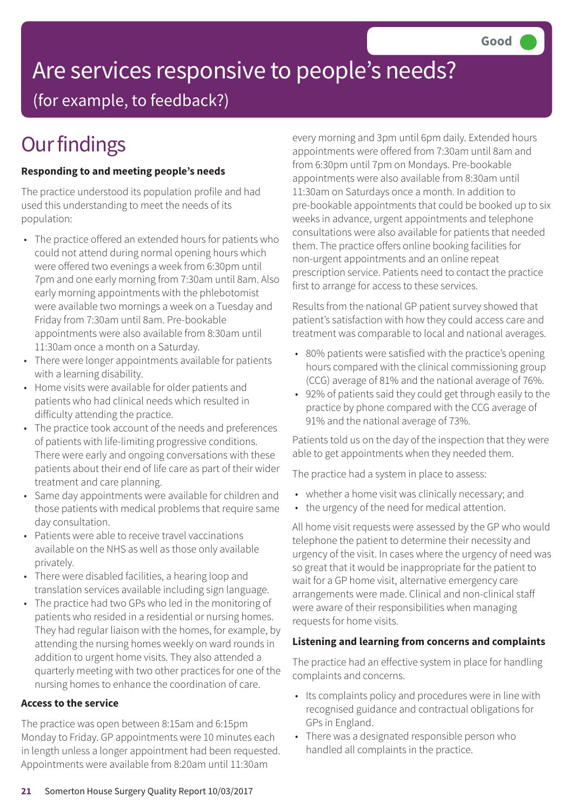# Are services responsive to people's needs?

(for example, to feedback?)

# **Our findings**

### **Responding to and meeting people's needs**

The practice understood its population profile and had used this understanding to meet the needs of its population:

- The practice offered an extended hours for patients who could not attend during normal opening hours which were offered two evenings a week from 6:30pm until 7pm and one early morning from 7:30am until 8am. Also early morning appointments with the phlebotomist were available two mornings a week on a Tuesday and Friday from 7:30am until 8am. Pre-bookable appointments were also available from 8:30am until 11:30am once a month on a Saturday.
- There were longer appointments available for patients with a learning disability.
- Home visits were available for older patients and patients who had clinical needs which resulted in difficulty attending the practice.
- The practice took account of the needs and preferences of patients with life-limiting progressive conditions. There were early and ongoing conversations with these patients about their end of life care as part of their wider treatment and care planning.
- Same day appointments were available for children and those patients with medical problems that require same day consultation.
- Patients were able to receive travel vaccinations available on the NHS as well as those only available privately.
- There were disabled facilities, a hearing loop and translation services available including sign language.
- The practice had two GPs who led in the monitoring of patients who resided in a residential or nursing homes. They had regular liaison with the homes, for example, by attending the nursing homes weekly on ward rounds in addition to urgent home visits. They also attended a quarterly meeting with two other practices for one of the nursing homes to enhance the coordination of care.

### **Access to the service**

The practice was open between 8:15am and 6:15pm Monday to Friday. GP appointments were 10 minutes each in length unless a longer appointment had been requested. Appointments were available from 8:20am until 11:30am

every morning and 3pm until 6pm daily. Extended hours appointments were offered from 7:30am until 8am and from 6:30pm until 7pm on Mondays. Pre-bookable appointments were also available from 8:30am until 11:30am on Saturdays once a month. In addition to pre-bookable appointments that could be booked up to six weeks in advance, urgent appointments and telephone consultations were also available for patients that needed them. The practice offers online booking facilities for non-urgent appointments and an online repeat prescription service. Patients need to contact the practice first to arrange for access to these services.

Results from the national GP patient survey showed that patient's satisfaction with how they could access care and treatment was comparable to local and national averages.

- 80% patients were satisfied with the practice's opening hours compared with the clinical commissioning group (CCG) average of 81% and the national average of 76%.
- 92% of patients said they could get through easily to the practice by phone compared with the CCG average of 91% and the national average of 73%.

Patients told us on the day of the inspection that they were able to get appointments when they needed them.

The practice had a system in place to assess:

- whether a home visit was clinically necessary; and
- the urgency of the need for medical attention.

All home visit requests were assessed by the GP who would telephone the patient to determine their necessity and urgency of the visit. In cases where the urgency of need was so great that it would be inappropriate for the patient to wait for a GP home visit, alternative emergency care arrangements were made. Clinical and non-clinical staff were aware of their responsibilities when managing requests for home visits.

### **Listening and learning from concerns and complaints**

The practice had an effective system in place for handling complaints and concerns.

- Its complaints policy and procedures were in line with recognised guidance and contractual obligations for GPs in England.
- There was a designated responsible person who handled all complaints in the practice.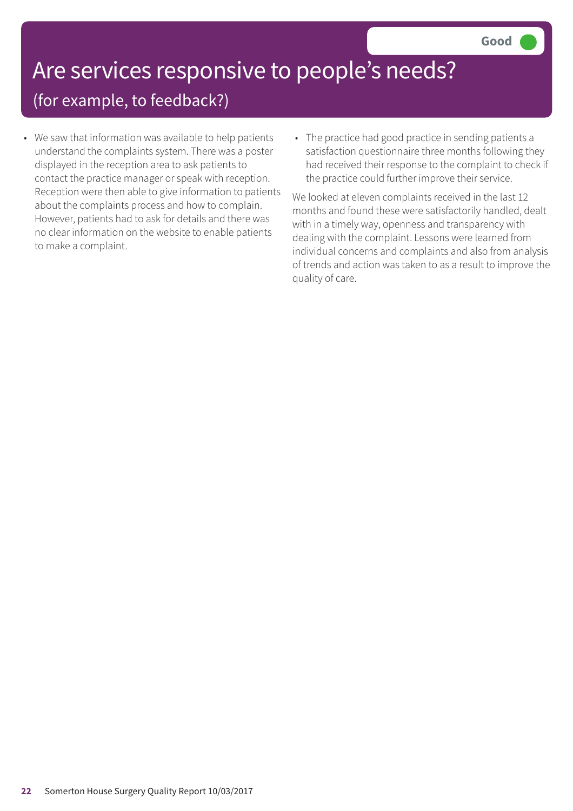# Are services responsive to people's needs?

### (for example, to feedback?)

- We saw that information was available to help patients understand the complaints system. There was a poster displayed in the reception area to ask patients to contact the practice manager or speak with reception. Reception were then able to give information to patients about the complaints process and how to complain. However, patients had to ask for details and there was no clear information on the website to enable patients to make a complaint.
- The practice had good practice in sending patients a satisfaction questionnaire three months following they had received their response to the complaint to check if the practice could further improve their service.

We looked at eleven complaints received in the last 12 months and found these were satisfactorily handled, dealt with in a timely way, openness and transparency with dealing with the complaint. Lessons were learned from individual concerns and complaints and also from analysis of trends and action was taken to as a result to improve the quality of care.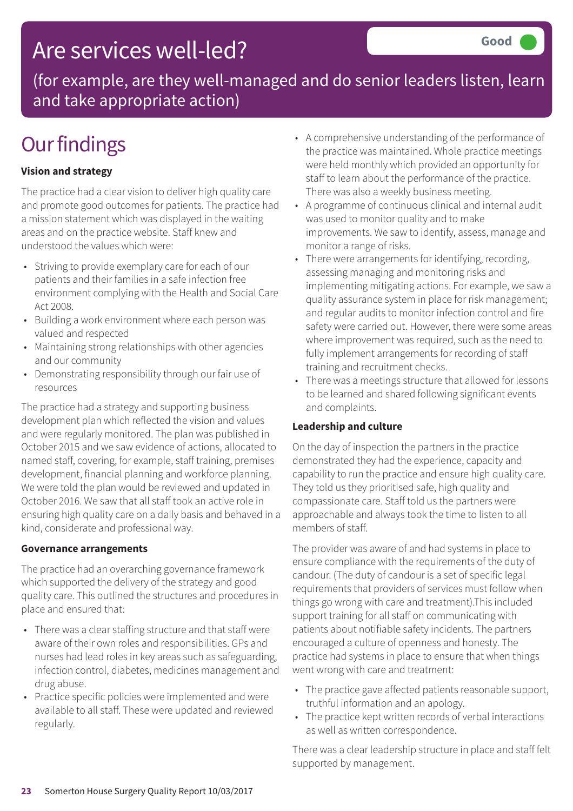### Are services well-led?

(for example, are they well-managed and do senior leaders listen, learn and take appropriate action)

# **Our findings**

### **Vision and strategy**

The practice had a clear vision to deliver high quality care and promote good outcomes for patients. The practice had a mission statement which was displayed in the waiting areas and on the practice website. Staff knew and understood the values which were:

- Striving to provide exemplary care for each of our patients and their families in a safe infection free environment complying with the Health and Social Care Act 2008.
- Building a work environment where each person was valued and respected
- Maintaining strong relationships with other agencies and our community
- Demonstrating responsibility through our fair use of resources

The practice had a strategy and supporting business development plan which reflected the vision and values and were regularly monitored. The plan was published in October 2015 and we saw evidence of actions, allocated to named staff, covering, for example, staff training, premises development, financial planning and workforce planning. We were told the plan would be reviewed and updated in October 2016. We saw that all staff took an active role in ensuring high quality care on a daily basis and behaved in a kind, considerate and professional way.

### **Governance arrangements**

The practice had an overarching governance framework which supported the delivery of the strategy and good quality care. This outlined the structures and procedures in place and ensured that:

- There was a clear staffing structure and that staff were aware of their own roles and responsibilities. GPs and nurses had lead roles in key areas such as safeguarding, infection control, diabetes, medicines management and drug abuse.
- Practice specific policies were implemented and were available to all staff. These were updated and reviewed regularly.
- A comprehensive understanding of the performance of the practice was maintained. Whole practice meetings were held monthly which provided an opportunity for staff to learn about the performance of the practice. There was also a weekly business meeting.
- A programme of continuous clinical and internal audit was used to monitor quality and to make improvements. We saw to identify, assess, manage and monitor a range of risks.
- There were arrangements for identifying, recording, assessing managing and monitoring risks and implementing mitigating actions. For example, we saw a quality assurance system in place for risk management; and regular audits to monitor infection control and fire safety were carried out. However, there were some areas where improvement was required, such as the need to fully implement arrangements for recording of staff training and recruitment checks.
- There was a meetings structure that allowed for lessons to be learned and shared following significant events and complaints.

### **Leadership and culture**

On the day of inspection the partners in the practice demonstrated they had the experience, capacity and capability to run the practice and ensure high quality care. They told us they prioritised safe, high quality and compassionate care. Staff told us the partners were approachable and always took the time to listen to all members of staff.

The provider was aware of and had systems in place to ensure compliance with the requirements of the duty of candour. (The duty of candour is a set of specific legal requirements that providers of services must follow when things go wrong with care and treatment).This included support training for all staff on communicating with patients about notifiable safety incidents. The partners encouraged a culture of openness and honesty. The practice had systems in place to ensure that when things went wrong with care and treatment:

- The practice gave affected patients reasonable support, truthful information and an apology.
- The practice kept written records of verbal interactions as well as written correspondence.

There was a clear leadership structure in place and staff felt supported by management.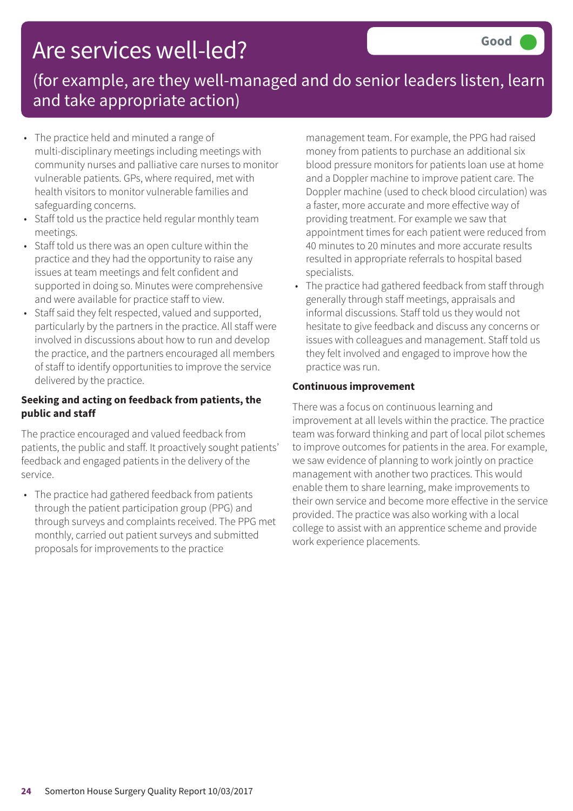## Are services well-led?

### (for example, are they well-managed and do senior leaders listen, learn and take appropriate action)

- The practice held and minuted a range of multi-disciplinary meetings including meetings with community nurses and palliative care nurses to monitor vulnerable patients. GPs, where required, met with health visitors to monitor vulnerable families and safeguarding concerns.
- Staff told us the practice held regular monthly team meetings.
- Staff told us there was an open culture within the practice and they had the opportunity to raise any issues at team meetings and felt confident and supported in doing so. Minutes were comprehensive and were available for practice staff to view.
- Staff said they felt respected, valued and supported, particularly by the partners in the practice. All staff were involved in discussions about how to run and develop the practice, and the partners encouraged all members of staff to identify opportunities to improve the service delivered by the practice.

### **Seeking and acting on feedback from patients, the public and staff**

The practice encouraged and valued feedback from patients, the public and staff. It proactively sought patients' feedback and engaged patients in the delivery of the service.

• The practice had gathered feedback from patients through the patient participation group (PPG) and through surveys and complaints received. The PPG met monthly, carried out patient surveys and submitted proposals for improvements to the practice

management team. For example, the PPG had raised money from patients to purchase an additional six blood pressure monitors for patients loan use at home and a Doppler machine to improve patient care. The Doppler machine (used to check blood circulation) was a faster, more accurate and more effective way of providing treatment. For example we saw that appointment times for each patient were reduced from 40 minutes to 20 minutes and more accurate results resulted in appropriate referrals to hospital based specialists.

• The practice had gathered feedback from staff through generally through staff meetings, appraisals and informal discussions. Staff told us they would not hesitate to give feedback and discuss any concerns or issues with colleagues and management. Staff told us they felt involved and engaged to improve how the practice was run.

### **Continuous improvement**

There was a focus on continuous learning and improvement at all levels within the practice. The practice team was forward thinking and part of local pilot schemes to improve outcomes for patients in the area. For example, we saw evidence of planning to work jointly on practice management with another two practices. This would enable them to share learning, make improvements to their own service and become more effective in the service provided. The practice was also working with a local college to assist with an apprentice scheme and provide work experience placements.